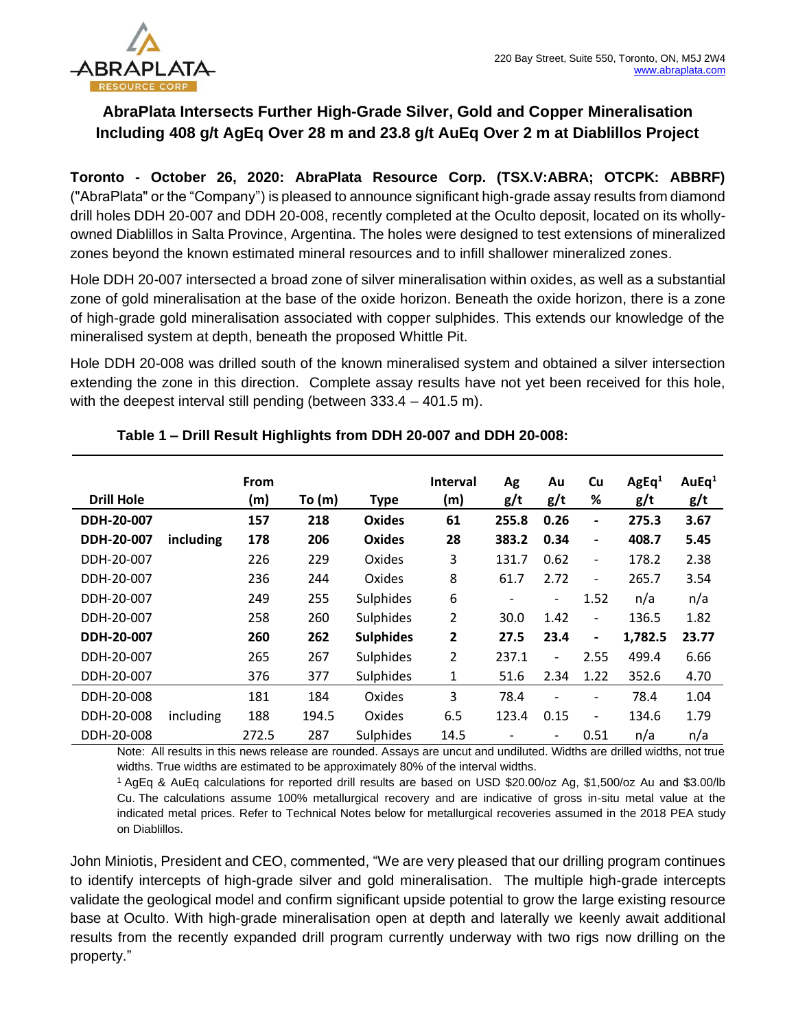

# **AbraPlata Intersects Further High-Grade Silver, Gold and Copper Mineralisation Including 408 g/t AgEq Over 28 m and 23.8 g/t AuEq Over 2 m at Diablillos Project**

**Toronto - October 26, 2020: AbraPlata Resource Corp. (TSX.V:ABRA; OTCPK: ABBRF)**  ("AbraPlata" or the "Company") is pleased to announce significant high-grade assay results from diamond drill holes DDH 20-007 and DDH 20-008, recently completed at the Oculto deposit, located on its whollyowned Diablillos in Salta Province, Argentina. The holes were designed to test extensions of mineralized zones beyond the known estimated mineral resources and to infill shallower mineralized zones.

Hole DDH 20-007 intersected a broad zone of silver mineralisation within oxides, as well as a substantial zone of gold mineralisation at the base of the oxide horizon. Beneath the oxide horizon, there is a zone of high-grade gold mineralisation associated with copper sulphides. This extends our knowledge of the mineralised system at depth, beneath the proposed Whittle Pit.

Hole DDH 20-008 was drilled south of the known mineralised system and obtained a silver intersection extending the zone in this direction. Complete assay results have not yet been received for this hole, with the deepest interval still pending (between 333.4 – 401.5 m).

| <b>Drill Hole</b> |           | <b>From</b><br>(m) | To $(m)$ | <b>Type</b>      | <b>Interval</b><br>(m) | Ag<br>g/t | Au<br>g/t                    | Cu<br>%                  | AgEq <sup>1</sup><br>g/t | AuEq <sup>1</sup><br>g/t |
|-------------------|-----------|--------------------|----------|------------------|------------------------|-----------|------------------------------|--------------------------|--------------------------|--------------------------|
| DDH-20-007        |           | 157                | 218      | <b>Oxides</b>    | 61                     | 255.8     | 0.26                         | $\overline{\phantom{0}}$ | 275.3                    | 3.67                     |
| DDH-20-007        | including | 178                | 206      | <b>Oxides</b>    | 28                     | 383.2     | 0.34                         | $\overline{\phantom{0}}$ | 408.7                    | 5.45                     |
| DDH-20-007        |           | 226                | 229      | Oxides           | 3                      | 131.7     | 0.62                         | -                        | 178.2                    | 2.38                     |
| DDH-20-007        |           | 236                | 244      | Oxides           | 8                      | 61.7      | 2.72                         | -                        | 265.7                    | 3.54                     |
| DDH-20-007        |           | 249                | 255      | Sulphides        | 6                      | -         | $\overline{\phantom{a}}$     | 1.52                     | n/a                      | n/a                      |
| DDH-20-007        |           | 258                | 260      | Sulphides        | $\overline{2}$         | 30.0      | 1.42                         | $\overline{\phantom{a}}$ | 136.5                    | 1.82                     |
| DDH-20-007        |           | 260                | 262      | <b>Sulphides</b> | 2                      | 27.5      | 23.4                         | $\overline{\phantom{a}}$ | 1,782.5                  | 23.77                    |
| DDH-20-007        |           | 265                | 267      | Sulphides        | 2                      | 237.1     | $\qquad \qquad \blacksquare$ | 2.55                     | 499.4                    | 6.66                     |
| DDH-20-007        |           | 376                | 377      | Sulphides        | 1                      | 51.6      | 2.34                         | 1.22                     | 352.6                    | 4.70                     |
| DDH-20-008        |           | 181                | 184      | Oxides           | 3                      | 78.4      |                              | $\overline{\phantom{0}}$ | 78.4                     | 1.04                     |
| DDH-20-008        | including | 188                | 194.5    | Oxides           | 6.5                    | 123.4     | 0.15                         | -                        | 134.6                    | 1.79                     |
| DDH-20-008        |           | 272.5              | 287      | Sulphides        | 14.5                   |           | $\overline{\phantom{a}}$     | 0.51                     | n/a                      | n/a                      |

# **Table 1 – Drill Result Highlights from DDH 20-007 and DDH 20-008:**

Note: All results in this news release are rounded. Assays are uncut and undiluted. Widths are drilled widths, not true widths. True widths are estimated to be approximately 80% of the interval widths.

<sup>1</sup>AgEq & AuEq calculations for reported drill results are based on USD \$20.00/oz Ag, \$1,500/oz Au and \$3.00/lb Cu. The calculations assume 100% metallurgical recovery and are indicative of gross in-situ metal value at the indicated metal prices. Refer to Technical Notes below for metallurgical recoveries assumed in the 2018 PEA study on Diablillos.

John Miniotis, President and CEO, commented, "We are very pleased that our drilling program continues to identify intercepts of high-grade silver and gold mineralisation. The multiple high-grade intercepts validate the geological model and confirm significant upside potential to grow the large existing resource base at Oculto. With high-grade mineralisation open at depth and laterally we keenly await additional results from the recently expanded drill program currently underway with two rigs now drilling on the property."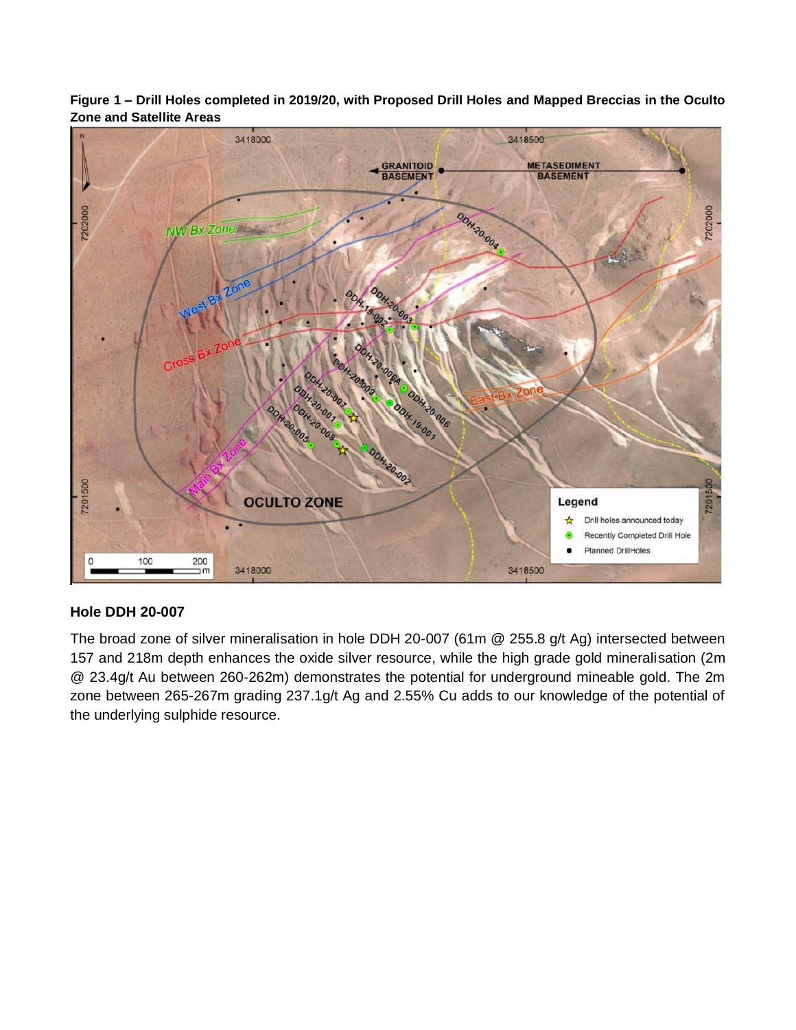

**Figure 1 – Drill Holes completed in 2019/20, with Proposed Drill Holes and Mapped Breccias in the Oculto Zone and Satellite Areas**

# **Hole DDH 20-007**

The broad zone of silver mineralisation in hole DDH 20-007 (61m @ 255.8 g/t Ag) intersected between 157 and 218m depth enhances the oxide silver resource, while the high grade gold mineralisation (2m @ 23.4g/t Au between 260-262m) demonstrates the potential for underground mineable gold. The 2m zone between 265-267m grading 237.1g/t Ag and 2.55% Cu adds to our knowledge of the potential of the underlying sulphide resource.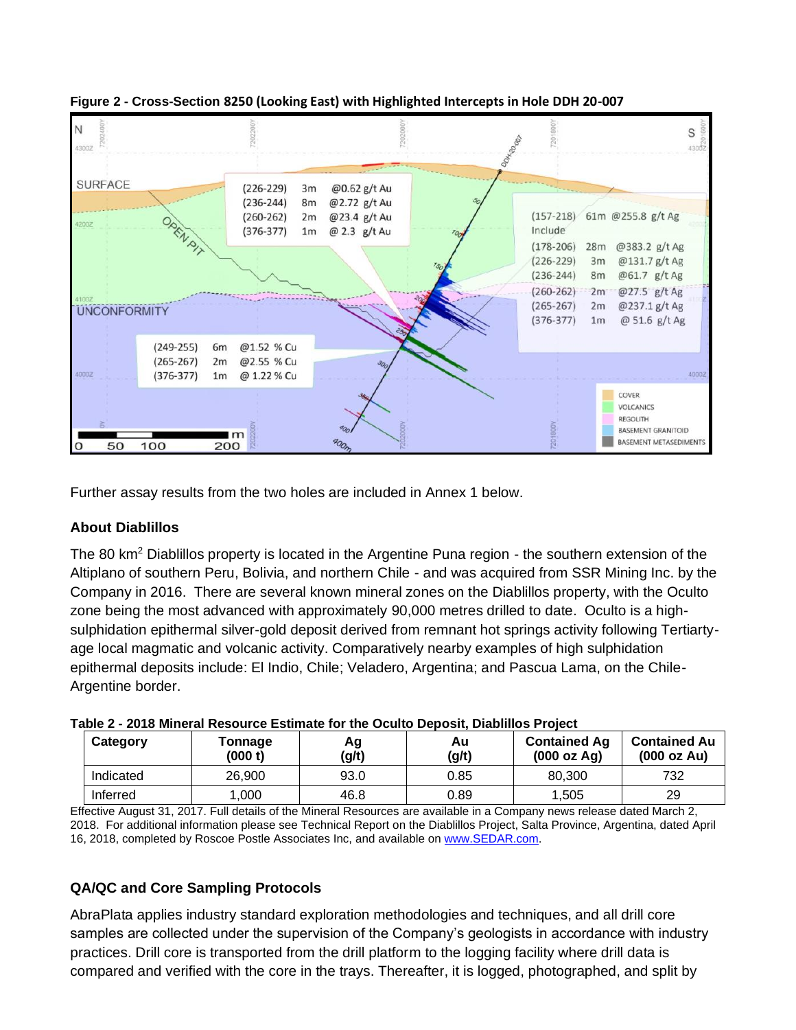

**Figure 2 - Cross-Section 8250 (Looking East) with Highlighted Intercepts in Hole DDH 20-007**

Further assay results from the two holes are included in Annex 1 below.

#### **About Diablillos**

The 80 km<sup>2</sup> Diablillos property is located in the Argentine Puna region - the southern extension of the Altiplano of southern Peru, Bolivia, and northern Chile - and was acquired from SSR Mining Inc. by the Company in 2016. There are several known mineral zones on the Diablillos property, with the Oculto zone being the most advanced with approximately 90,000 metres drilled to date. Oculto is a highsulphidation epithermal silver-gold deposit derived from remnant hot springs activity following Tertiartyage local magmatic and volcanic activity. Comparatively nearby examples of high sulphidation epithermal deposits include: El Indio, Chile; Veladero, Argentina; and Pascua Lama, on the Chile-Argentine border.

| iable 2 - 2010 Milleral Resource Estimate for the Oculto Debosit. Diabilitys i Tolect |                    |             |             |                                    |                                    |  |  |  |
|---------------------------------------------------------------------------------------|--------------------|-------------|-------------|------------------------------------|------------------------------------|--|--|--|
| Category                                                                              | Tonnage<br>(000 t) | Αg<br>(g/t) | Au<br>(g/t) | <b>Contained Ag</b><br>(000 oz Ag) | <b>Contained Au</b><br>(000 oz Au) |  |  |  |
| Indicated                                                                             | 26,900             | 93.0        | 0.85        | 80,300                             | 732                                |  |  |  |
| Inferred                                                                              | .000               | 46.8        | 0.89        | 1,505                              | 29                                 |  |  |  |

| Table 2 - 2018 Mineral Resource Estimate for the Oculto Deposit, Diablillos Project |  |
|-------------------------------------------------------------------------------------|--|
|                                                                                     |  |

Effective August 31, 2017. Full details of the Mineral Resources are available in a Company news release dated March 2, 2018. For additional information please see Technical Report on the Diablillos Project, Salta Province, Argentina, dated April 16, 2018, completed by Roscoe Postle Associates Inc, and available o[n www.SEDAR.com.](about:blank)

# **QA/QC and Core Sampling Protocols**

AbraPlata applies industry standard exploration methodologies and techniques, and all drill core samples are collected under the supervision of the Company's geologists in accordance with industry practices. Drill core is transported from the drill platform to the logging facility where drill data is compared and verified with the core in the trays. Thereafter, it is logged, photographed, and split by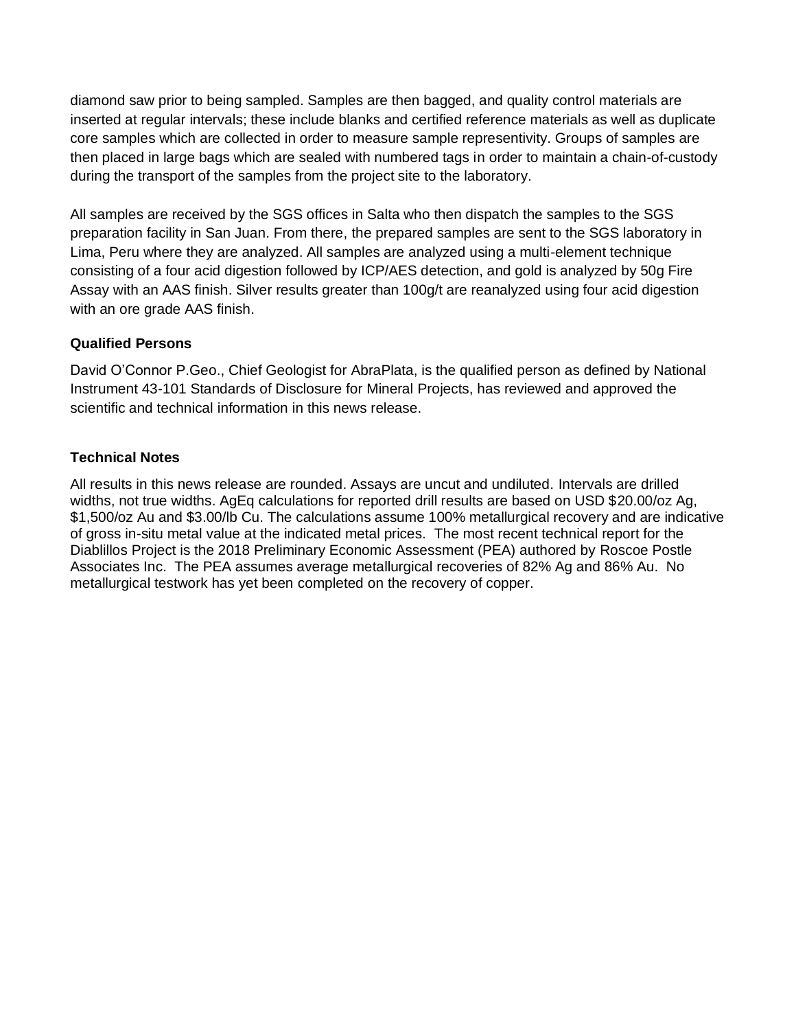diamond saw prior to being sampled. Samples are then bagged, and quality control materials are inserted at regular intervals; these include blanks and certified reference materials as well as duplicate core samples which are collected in order to measure sample representivity. Groups of samples are then placed in large bags which are sealed with numbered tags in order to maintain a chain-of-custody during the transport of the samples from the project site to the laboratory.

All samples are received by the SGS offices in Salta who then dispatch the samples to the SGS preparation facility in San Juan. From there, the prepared samples are sent to the SGS laboratory in Lima, Peru where they are analyzed. All samples are analyzed using a multi-element technique consisting of a four acid digestion followed by ICP/AES detection, and gold is analyzed by 50g Fire Assay with an AAS finish. Silver results greater than 100g/t are reanalyzed using four acid digestion with an ore grade AAS finish.

### **Qualified Persons**

David O'Connor P.Geo., Chief Geologist for AbraPlata, is the qualified person as defined by National Instrument 43-101 Standards of Disclosure for Mineral Projects, has reviewed and approved the scientific and technical information in this news release.

### **Technical Notes**

All results in this news release are rounded. Assays are uncut and undiluted. Intervals are drilled widths, not true widths. AgEq calculations for reported drill results are based on USD \$20.00/oz Ag, \$1,500/oz Au and \$3.00/lb Cu. The calculations assume 100% metallurgical recovery and are indicative of gross in-situ metal value at the indicated metal prices. The most recent technical report for the Diablillos Project is the 2018 Preliminary Economic Assessment (PEA) authored by Roscoe Postle Associates Inc. The PEA assumes average metallurgical recoveries of 82% Ag and 86% Au. No metallurgical testwork has yet been completed on the recovery of copper.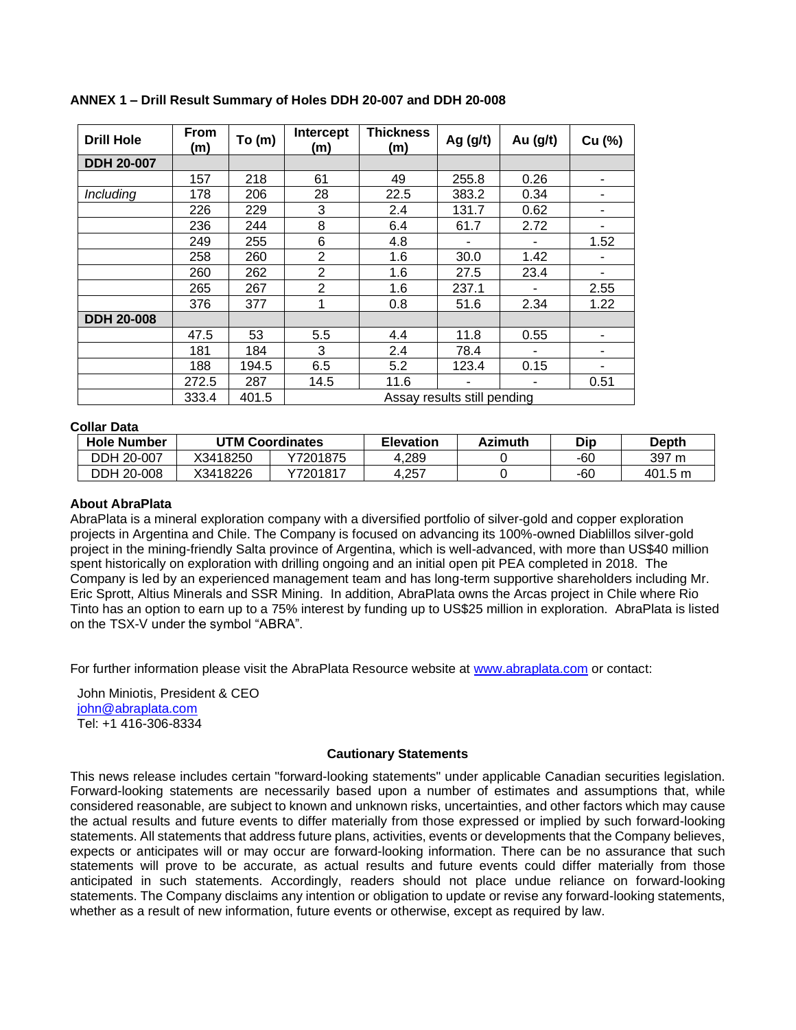| <b>Drill Hole</b> | <b>From</b><br>(m) | To (m) | Intercept<br>(m)            | <b>Thickness</b><br>(m) | Ag $(g/t)$ | Au (g/t) | Cu (%)         |  |  |
|-------------------|--------------------|--------|-----------------------------|-------------------------|------------|----------|----------------|--|--|
| <b>DDH 20-007</b> |                    |        |                             |                         |            |          |                |  |  |
|                   | 157                | 218    | 61                          | 49                      | 255.8      | 0.26     | -              |  |  |
| Including         | 178                | 206    | 28                          | 22.5                    | 383.2      | 0.34     | ۰              |  |  |
|                   | 226                | 229    | 3                           | 2.4                     | 131.7      | 0.62     | ۰              |  |  |
|                   | 236                | 244    | 8                           | 6.4                     | 61.7       | 2.72     | ۰              |  |  |
|                   | 249                | 255    | 6                           | 4.8                     |            |          | 1.52           |  |  |
|                   | 258                | 260    | 2                           | 1.6                     | 30.0       | 1.42     |                |  |  |
|                   | 260                | 262    | $\overline{2}$              | 1.6                     | 27.5       | 23.4     | $\blacksquare$ |  |  |
|                   | 265                | 267    | $\overline{2}$              | 1.6                     | 237.1      |          | 2.55           |  |  |
|                   | 376                | 377    | 1                           | 0.8                     | 51.6       | 2.34     | 1.22           |  |  |
| <b>DDH 20-008</b> |                    |        |                             |                         |            |          |                |  |  |
|                   | 47.5               | 53     | 5.5                         | 4.4                     | 11.8       | 0.55     |                |  |  |
|                   | 181                | 184    | 3                           | 2.4                     | 78.4       |          | ۰              |  |  |
|                   | 188                | 194.5  | 6.5                         | 5.2                     | 123.4      | 0.15     |                |  |  |
|                   | 272.5              | 287    | 14.5                        | 11.6                    |            |          | 0.51           |  |  |
|                   | 333.4              | 401.5  | Assay results still pending |                         |            |          |                |  |  |

#### **ANNEX 1 – Drill Result Summary of Holes DDH 20-007 and DDH 20-008**

#### **Collar Data**

| <b>Hole Number</b> |          | <b>UTM Coordinates</b> | <b>Elevation</b> | <b>Azimuth</b> | Dip | <b>Depth</b> |
|--------------------|----------|------------------------|------------------|----------------|-----|--------------|
| DDH 20-007         | X3418250 | Y7201875               | .289،            |                | -60 | 397 m        |
| DDH 20-008         | X3418226 | Y7201817               | 4.257            |                | -60 | 401.5 m      |

#### **About AbraPlata**

AbraPlata is a mineral exploration company with a diversified portfolio of silver-gold and copper exploration projects in Argentina and Chile. The Company is focused on advancing its 100%-owned Diablillos silver-gold project in the mining-friendly Salta province of Argentina, which is well-advanced, with more than US\$40 million spent historically on exploration with drilling ongoing and an initial open pit PEA completed in 2018. The Company is led by an experienced management team and has long-term supportive shareholders including Mr. Eric Sprott, Altius Minerals and SSR Mining. In addition, AbraPlata owns the Arcas project in Chile where Rio Tinto has an option to earn up to a 75% interest by funding up to US\$25 million in exploration. AbraPlata is listed on the TSX-V under the symbol "ABRA".

For further information please visit the AbraPlata Resource website at [www.abraplata.com](about:blank) or contact:

John Miniotis, President & CEO [john@abraplata.com](about:blank) Tel: +1 416-306-8334

#### **Cautionary Statements**

This news release includes certain "forward-looking statements" under applicable Canadian securities legislation. Forward-looking statements are necessarily based upon a number of estimates and assumptions that, while considered reasonable, are subject to known and unknown risks, uncertainties, and other factors which may cause the actual results and future events to differ materially from those expressed or implied by such forward-looking statements. All statements that address future plans, activities, events or developments that the Company believes, expects or anticipates will or may occur are forward-looking information. There can be no assurance that such statements will prove to be accurate, as actual results and future events could differ materially from those anticipated in such statements. Accordingly, readers should not place undue reliance on forward-looking statements. The Company disclaims any intention or obligation to update or revise any forward-looking statements, whether as a result of new information, future events or otherwise, except as required by law.